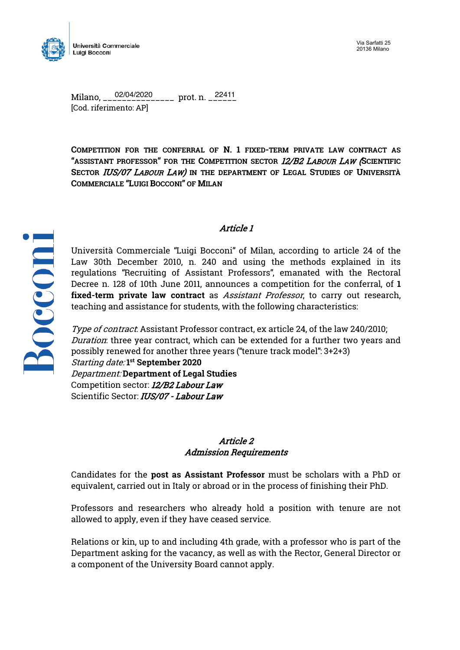

Milano, \_\_\_\_\_\_\_\_\_\_\_\_\_\_\_ prot. n. \_\_\_\_\_\_ 02/04/2020 22411[Cod. riferimento: AP]

**COMPETITION FOR THE CONFERRAL OF N. 1 FIXED-TERM PRIVATE LAW CONTRACT AS "ASSISTANT PROFESSOR" FOR THE COMPETITION SECTOR** 12/B2 LABOUR LAW (**SCIENTIFIC SECTOR** IUS/07 LABOUR LAW) **IN THE DEPARTMENT OF LEGAL STUDIES OF UNIVERSITÀ COMMERCIALE "LUIGI BOCCONI" OF MILAN**



## Article 1

Università Commerciale "Luigi Bocconi" of Milan, according to article 24 of the Law 30th December 2010, n. 240 and using the methods explained in its regulations "Recruiting of Assistant Professors", emanated with the Rectoral Decree n. 128 of 10th June 2011, announces a competition for the conferral, of **1 fixed-term private law contract** as Assistant Professor, to carry out research, teaching and assistance for students, with the following characteristics:

Type of contract: Assistant Professor contract, ex article 24, of the law 240/2010; Duration: three year contract, which can be extended for a further two years and possibly renewed for another three years ("tenure track model": 3+2+3) Starting date: **1st September 2020** Department: **Department of Legal Studies** Competition sector: 12/B2 Labour Law Scientific Sector: IUS/07 - Labour Law

### Article 2 Admission Requirements

Candidates for the **post as Assistant Professor** must be scholars with a PhD or equivalent, carried out in Italy or abroad or in the process of finishing their PhD.

Professors and researchers who already hold a position with tenure are not allowed to apply, even if they have ceased service.

Relations or kin, up to and including 4th grade, with a professor who is part of the Department asking for the vacancy, as well as with the Rector, General Director or a component of the University Board cannot apply.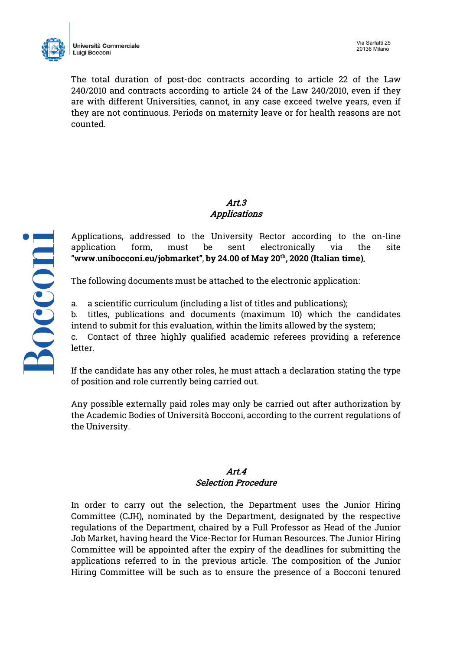

The total duration of post-doc contracts according to article 22 of the Law 240/2010 and contracts according to article 24 of the Law 240/2010, even if they are with different Universities, cannot, in any case exceed twelve years, even if they are not continuous. Periods on maternity leave or for health reasons are not counted.

# Art.3 Applications

Applications, addressed to the University Rector according to the on-line application form, must be sent electronically via the site **"www.unibocconi.eu/jobmarket"**, **by 24.00 of May 20th, 2020 (Italian time)**.

The following documents must be attached to the electronic application:

a. a scientific curriculum (including a list of titles and publications);

b. titles, publications and documents (maximum 10) which the candidates intend to submit for this evaluation, within the limits allowed by the system;

c. Contact of three highly qualified academic referees providing a reference letter.

If the candidate has any other roles, he must attach a declaration stating the type of position and role currently being carried out.

Any possible externally paid roles may only be carried out after authorization by the Academic Bodies of Università Bocconi, according to the current regulations of the University.

## Art.4 Selection Procedure

In order to carry out the selection, the Department uses the Junior Hiring Committee (CJH), nominated by the Department, designated by the respective regulations of the Department, chaired by a Full Professor as Head of the Junior Job Market, having heard the Vice-Rector for Human Resources. The Junior Hiring Committee will be appointed after the expiry of the deadlines for submitting the applications referred to in the previous article. The composition of the Junior Hiring Committee will be such as to ensure the presence of a Bocconi tenured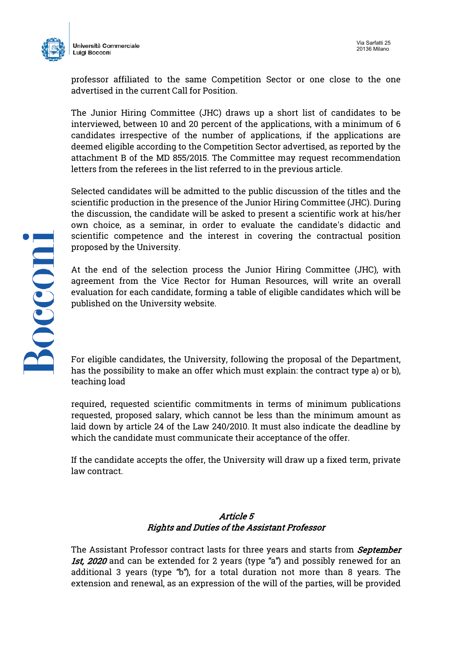



professor affiliated to the same Competition Sector or one close to the one advertised in the current Call for Position.

The Junior Hiring Committee (JHC) draws up a short list of candidates to be interviewed, between 10 and 20 percent of the applications, with a minimum of 6 candidates irrespective of the number of applications, if the applications are deemed eligible according to the Competition Sector advertised, as reported by the attachment B of the MD 855/2015. The Committee may request recommendation letters from the referees in the list referred to in the previous article.

Selected candidates will be admitted to the public discussion of the titles and the scientific production in the presence of the Junior Hiring Committee (JHC). During the discussion, the candidate will be asked to present a scientific work at his/her own choice, as a seminar, in order to evaluate the candidate's didactic and scientific competence and the interest in covering the contractual position proposed by the University.

At the end of the selection process the Junior Hiring Committee (JHC), with agreement from the Vice Rector for Human Resources, will write an overall evaluation for each candidate, forming a table of eligible candidates which will be published on the University website.

For eligible candidates, the University, following the proposal of the Department, has the possibility to make an offer which must explain: the contract type a) or b), teaching load

required, requested scientific commitments in terms of minimum publications requested, proposed salary, which cannot be less than the minimum amount as laid down by article 24 of the Law 240/2010. It must also indicate the deadline by which the candidate must communicate their acceptance of the offer.

If the candidate accepts the offer, the University will draw up a fixed term, private law contract.

### Article 5 Rights and Duties of the Assistant Professor

The Assistant Professor contract lasts for three years and starts from *September* 1st, 2020 and can be extended for 2 years (type "a") and possibly renewed for an additional 3 years (type "b"), for a total duration not more than 8 years. The extension and renewal, as an expression of the will of the parties, will be provided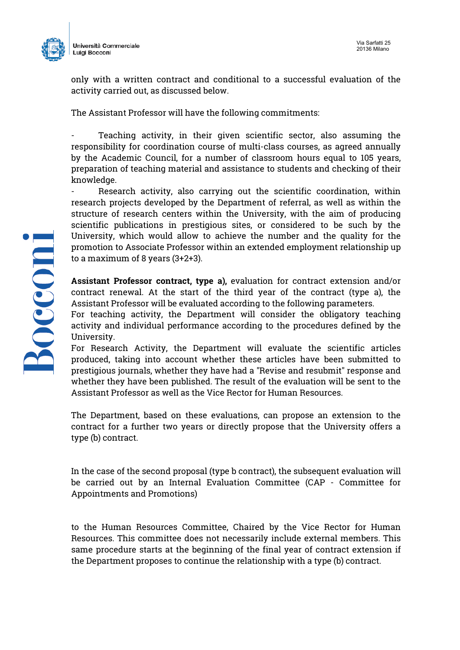

Università Commerciale Luigi Bocconi

only with a written contract and conditional to a successful evaluation of the activity carried out, as discussed below.

The Assistant Professor will have the following commitments:

Teaching activity, in their given scientific sector, also assuming the responsibility for coordination course of multi-class courses, as agreed annually by the Academic Council, for a number of classroom hours equal to 105 years, preparation of teaching material and assistance to students and checking of their knowledge.

Research activity, also carrying out the scientific coordination, within research projects developed by the Department of referral, as well as within the structure of research centers within the University, with the aim of producing scientific publications in prestigious sites, or considered to be such by the University, which would allow to achieve the number and the quality for the promotion to Associate Professor within an extended employment relationship up to a maximum of 8 years (3+2+3).

**Assistant Professor contract, type a),** evaluation for contract extension and/or contract renewal. At the start of the third year of the contract (type a), the Assistant Professor will be evaluated according to the following parameters.

For teaching activity, the Department will consider the obligatory teaching activity and individual performance according to the procedures defined by the University.

For Research Activity, the Department will evaluate the scientific articles produced, taking into account whether these articles have been submitted to prestigious journals, whether they have had a "Revise and resubmit" response and whether they have been published. The result of the evaluation will be sent to the Assistant Professor as well as the Vice Rector for Human Resources.

The Department, based on these evaluations, can propose an extension to the contract for a further two years or directly propose that the University offers a type (b) contract.

In the case of the second proposal (type b contract), the subsequent evaluation will be carried out by an Internal Evaluation Committee (CAP - Committee for Appointments and Promotions)

to the Human Resources Committee, Chaired by the Vice Rector for Human Resources. This committee does not necessarily include external members. This same procedure starts at the beginning of the final year of contract extension if the Department proposes to continue the relationship with a type (b) contract.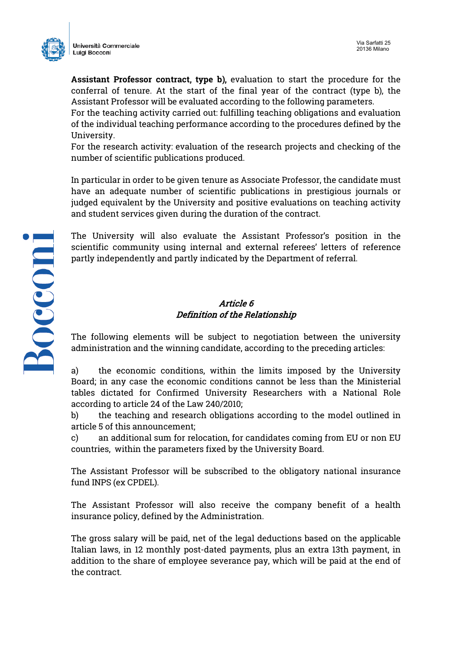

**Assistant Professor contract, type b),** evaluation to start the procedure for the conferral of tenure. At the start of the final year of the contract (type b), the Assistant Professor will be evaluated according to the following parameters.

For the teaching activity carried out: fulfilling teaching obligations and evaluation of the individual teaching performance according to the procedures defined by the University.

For the research activity: evaluation of the research projects and checking of the number of scientific publications produced.

In particular in order to be given tenure as Associate Professor, the candidate must have an adequate number of scientific publications in prestigious journals or judged equivalent by the University and positive evaluations on teaching activity and student services given during the duration of the contract.

The University will also evaluate the Assistant Professor's position in the scientific community using internal and external referees' letters of reference partly independently and partly indicated by the Department of referral.

### Article 6 Definition of the Relationship

The following elements will be subject to negotiation between the university administration and the winning candidate, according to the preceding articles:

a) the economic conditions, within the limits imposed by the University Board; in any case the economic conditions cannot be less than the Ministerial tables dictated for Confirmed University Researchers with a National Role according to article 24 of the Law 240/2010;

b) the teaching and research obligations according to the model outlined in article 5 of this announcement;

c) an additional sum for relocation, for candidates coming from EU or non EU countries, within the parameters fixed by the University Board.

The Assistant Professor will be subscribed to the obligatory national insurance fund INPS (ex CPDEL).

The Assistant Professor will also receive the company benefit of a health insurance policy, defined by the Administration.

The gross salary will be paid, net of the legal deductions based on the applicable Italian laws, in 12 monthly post-dated payments, plus an extra 13th payment, in addition to the share of employee severance pay, which will be paid at the end of the contract.